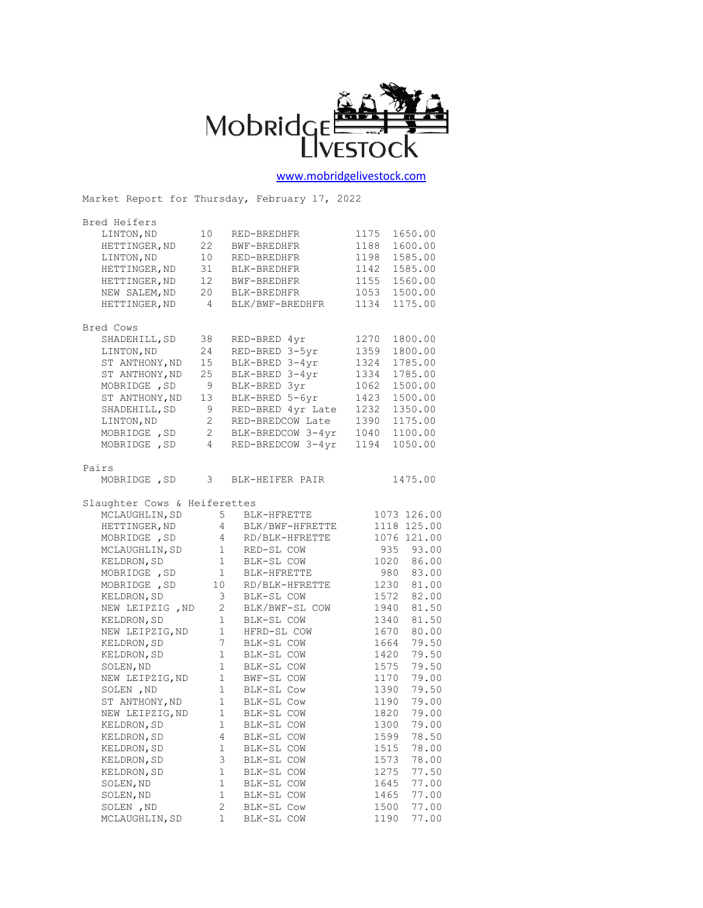

## [www.mobridgelivestock.com](http://www.mobridgelivestock.com/)

|                               |                | Market Report for Thursday, February 17, 2022 |      |             |
|-------------------------------|----------------|-----------------------------------------------|------|-------------|
| Bred Heifers                  |                |                                               |      |             |
| LINTON, ND                    | 10             | RED-BREDHFR                                   | 1175 | 1650.00     |
| HETTINGER, ND                 | 22             | BWF-BREDHFR                                   | 1188 | 1600.00     |
| LINTON, ND                    | 10             | RED-BREDHFR                                   | 1198 | 1585.00     |
| HETTINGER, ND                 | 31             | BLK-BREDHFR                                   | 1142 | 1585.00     |
| HETTINGER, ND                 | 12             | BWF-BREDHFR                                   | 1155 | 1560.00     |
| NEW SALEM, ND                 | 20             | BLK-BREDHFR                                   | 1053 | 1500.00     |
| HETTINGER, ND                 | $\overline{4}$ | BLK/BWF-BREDHFR                               | 1134 | 1175.00     |
| Bred Cows                     |                |                                               |      |             |
| SHADEHILL, SD                 | 38             | RED-BRED 4yr                                  | 1270 | 1800.00     |
| LINTON, ND                    | 24             | RED-BRED 3-5yr                                | 1359 | 1800.00     |
| ST ANTHONY, ND                | 15             | BLK-BRED 3-4yr                                | 1324 | 1785.00     |
| ST ANTHONY, ND                | 25             | BLK-BRED 3-4yr                                | 1334 | 1785.00     |
| MOBRIDGE , SD                 | 9              | BLK-BRED 3yr                                  | 1062 | 1500.00     |
| ST ANTHONY, ND                | 13             | BLK-BRED 5-6yr                                | 1423 | 1500.00     |
| SHADEHILL, SD                 | 9              | RED-BRED 4yr Late                             | 1232 | 1350.00     |
| LINTON, ND                    | $2^{\circ}$    | RED-BREDCOW Late                              | 1390 | 1175.00     |
| MOBRIDGE , SD                 | 2              | BLK-BREDCOW 3-4yr                             | 1040 | 1100.00     |
| MOBRIDGE , SD                 | 4              | RED-BREDCOW 3-4yr                             | 1194 | 1050.00     |
| Pairs                         |                |                                               |      |             |
| MOBRIDGE , SD                 |                | 3 BLK-HEIFER PAIR                             |      | 1475.00     |
| Slaughter Cows & Heiferettes  |                |                                               |      |             |
| MCLAUGHLIN, SD                |                | $5 -$<br>BLK-HFRETTE                          |      | 1073 126.00 |
| HETTINGER, ND                 |                | $4\overline{ }$<br>BLK/BWF-HFRETTE            |      | 1118 125.00 |
| MOBRIDGE , SD                 |                | $4\overline{ }$<br>RD/BLK-HFRETTE             |      | 1076 121.00 |
| MCLAUGHLIN, SD                |                | $\mathbf{1}$<br>RED-SL COW                    |      | 935 93.00   |
| KELDRON, SD                   |                | $1 -$<br>BLK-SL COW                           |      | 1020 86.00  |
| MOBRIDGE , SD                 | $\mathbf{1}$   | BLK-HFRETTE                                   | 980  | 83.00       |
| MOBRIDGE , SD                 |                | $\frac{1}{10}$<br>RD/BLK-HFRETTE              | 1230 | 81.00       |
| KELDRON, SD                   |                | 3 <sup>7</sup><br>BLK-SL COW                  | 1572 | 82.00       |
| NEW LEIPZIG , ND              |                | $\overline{2}$<br>BLK/BWF-SL COW              | 1940 | 81.50       |
| KELDRON, SD                   | 1              | BLK-SL COW                                    | 1340 | 81.50       |
| NEW LEIPZIG, ND               |                | 1<br>HFRD-SL COW                              | 1670 | 80.00       |
| KELDRON, SD                   |                | 7 <sup>7</sup><br>BLK-SL COW                  | 1664 | 79.50       |
| KELDRON, SD                   | $\mathbf{1}$   | BLK-SL COW                                    | 1420 | 79.50       |
| SOLEN, ND                     | $\mathbf{1}$   | BLK-SL COW                                    | 1575 | 79.50       |
| NEW LEIPZIG, ND               |                | $1$ $\,$<br>BWF-SL COW                        | 1170 | 79.00       |
| SOLEN, ND                     |                | 1 BLK-SL COW                                  | 1390 | 79.50       |
| ST ANTHONY, ND                | 1              | BLK-SL Cow                                    | 1190 | 79.00       |
| 1<br>NEW LEIPZIG, ND          |                | BLK-SL COW                                    | 1820 | 79.00       |
| 1<br>KELDRON, SD              |                | BLK-SL COW                                    | 1300 | 79.00       |
| 4<br>KELDRON, SD              |                | BLK-SL COW                                    | 1599 | 78.50       |
| 1<br>KELDRON, SD              |                | BLK-SL COW                                    | 1515 | 78.00       |
| 3<br>KELDRON, SD              |                | BLK-SL COW                                    | 1573 | 78.00       |
| KELDRON, SD<br>1              |                | BLK-SL COW                                    | 1275 | 77.50       |
| $\mathbf 1$<br>SOLEN, ND      |                | BLK-SL COW                                    | 1645 | 77.00       |
| SOLEN, ND<br>1                |                | BLK-SL COW                                    | 1465 | 77.00       |
| SOLEN, ND                     | 2              | BLK-SL Cow                                    | 1500 | 77.00       |
| $\mathbf 1$<br>MCLAUGHLIN, SD |                | BLK-SL COW                                    | 1190 | 77.00       |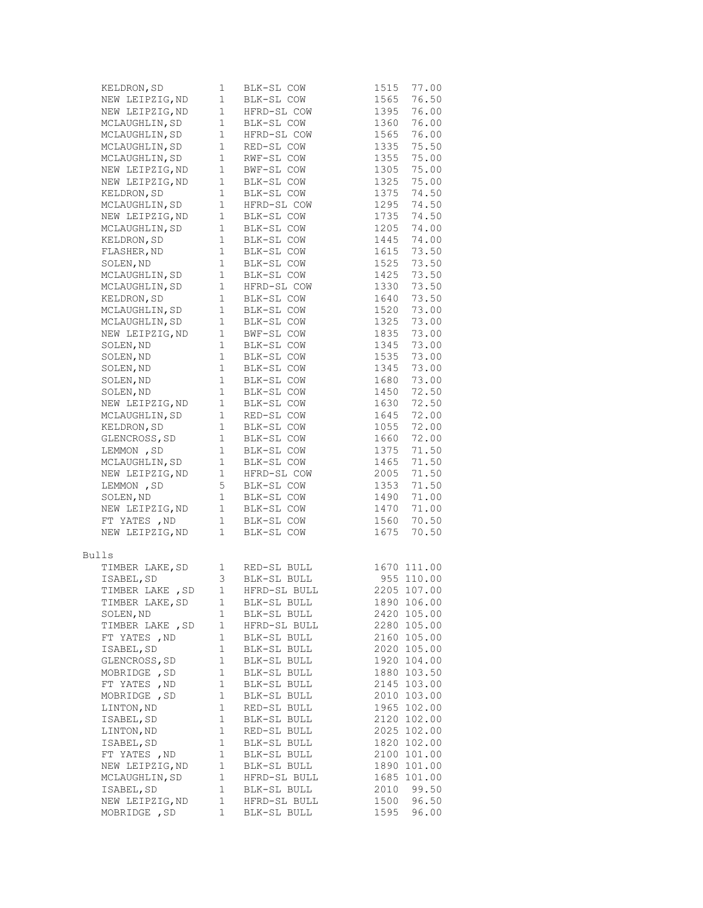| KELDRON, SD                                       | 1              | BLK-SL COW<br>BLK-SL COW     | 1515 | 77.00          |
|---------------------------------------------------|----------------|------------------------------|------|----------------|
| NEW LEIPZIG, ND                                   | $\mathbf{1}$   | BLK-SL COW                   | 1565 | 76.50          |
| NEW LEIPZIG, ND                                   | $1 -$          | HFRD-SL COW                  | 1395 | 76.00          |
| MCLAUGHLIN, SD                                    | $\mathbf{1}$   | BLK-SL COW                   | 1360 | 76.00          |
| MCLAUGHLIN, SD                                    | $\mathbf{1}$   | HFRD-SL COW                  | 1565 | 76.00          |
| MCLAUGHLIN, SD                                    | $\mathbf{1}$   | RED-SL COW                   | 1335 | 75.50          |
| MCLAUGHLIN, SD                                    | $\mathbf{1}$   | RWF-SL COW                   | 1355 | 75.00          |
| NEW LEIPZIG, ND                                   | $\mathbf{1}$   | BWF-SL COW                   | 1305 | 75.00          |
| NEW LEIPZIG, ND                                   | $\mathbf{1}$   | BLK-SL COW                   | 1325 | 75.00          |
| KELDRON, SD                                       | $\mathbf{1}$   | BLK-SL COW                   | 1375 | 74.50          |
| MCLAUGHLIN, SD                                    | $\mathbf{1}$   | HFRD-SL COW                  | 1295 | 74.50          |
| NEW LEIPZIG, ND                                   | $\mathbf{1}$   | BLK-SL COW                   | 1735 | 74.50          |
| MCLAUGHLIN, SD                                    | $\mathbf{1}$   | BLK-SL COW                   | 1205 | 74.00          |
| KELDRON, SD                                       | $\mathbf{1}$   | BLK-SL COW                   | 1445 | 74.00          |
| FLASHER, ND                                       | $\mathbf{1}$   | BLK-SL COW                   | 1615 | 73.50          |
| SOLEN, ND                                         | $\mathbf{1}$   | BLK-SL COW                   | 1525 | 73.50          |
| MCLAUGHLIN, SD                                    | $\mathbf{1}$   | BLK-SL COW                   | 1425 | 73.50          |
| MCLAUGHLIN, SD                                    | $\mathbf{1}$   | HFRD-SL COW                  | 1330 | 73.50          |
| KELDRON, SD                                       | $\mathbf{1}$   | BLK-SL COW                   | 1640 | 73.50          |
| MCLAUGHLIN, SD                                    | $\mathbf{1}$   | BLK-SL COW                   | 1520 | 73.00          |
| MCLAUGHLIN, SD                                    | $\mathbf{1}$   | BLK-SL COW                   | 1325 | 73.00          |
| NEW LEIPZIG, ND                                   | $\mathbf{1}$   | BWF-SL COW                   | 1835 | 73.00          |
| SOLEN, ND                                         | $\mathbf{1}$   | BLK-SL COW                   | 1345 | 73.00          |
| SOLEN, ND                                         | $\mathbf{1}$   | BLK-SL COW                   | 1535 | 73.00          |
| SOLEN, ND                                         | $\mathbf{1}$   | BLK-SL COW                   | 1345 | 73.00          |
|                                                   |                |                              |      |                |
| SOLEN, ND                                         | $\mathbf{1}$   | BLK-SL COW                   | 1680 | 73.00          |
| SOLEN, ND                                         | $\mathbf{1}$   | BLK-SL COW                   | 1450 | 72.50          |
| NEW LEIPZIG, ND<br>MCLAUGHLIN, SD                 | $\mathbf{1}$   | BLK-SL COW                   | 1630 | 72.50<br>72.00 |
|                                                   | $\mathbf{1}$   | RED-SL COW                   | 1645 |                |
| KELDRON, SD                                       | $\mathbf{1}$   | BLK-SL COW                   | 1055 | 72.00          |
| GLENCROSS, SD                                     | $\mathbf{1}$   | BLK-SL COW                   | 1660 | 72.00          |
| LEMMON , SD                                       | $\mathbf{1}$   | BLK-SL COW                   | 1375 | 71.50          |
| MCLAUGHLIN, SD                                    | $\mathbf{1}$   | BLK-SL COW                   | 1465 | 71.50          |
| NEW LEIPZIG, ND                                   | $\mathbf{1}$   | HFRD-SL COW                  | 2005 | 71.50          |
| LEMMON , SD                                       | 5              | BLK-SL COW                   | 1353 | 71.50          |
| SOLEN, ND                                         | $\mathbf{1}$   | BLK-SL COW                   | 1490 | 71.00          |
|                                                   |                | 1 BLK-SL COW<br>1 BLK-SL COW | 1470 | 71.00          |
| NEW LEIPZIG, ND<br>FT YATES ,ND<br>NEW LEIPZIG,ND |                |                              | 1560 | 70.50          |
|                                                   | 1              | BLK-SL COW                   | 1675 | 70.50          |
| <b>Bulls</b>                                      |                |                              |      |                |
| TIMBER LAKE, SD 1                                 |                | RED-SL BULL<br>BLK-SL BULL   |      | 1670 111.00    |
| ISABEL, SD                                        | 3 <sup>7</sup> |                              |      | 955 110.00     |
| TIMBER LAKE , SD                                  | 1              | HFRD-SL BULL                 |      | 2205 107.00    |
| TIMBER LAKE, SD                                   | 1              | BLK-SL BULL                  |      | 1890 106.00    |
| SOLEN, ND                                         | 1              | BLK-SL BULL                  |      | 2420 105.00    |
| TIMBER LAKE , SD                                  | 1              | HFRD-SL BULL                 |      | 2280 105.00    |
| FT YATES , ND                                     | 1              | BLK-SL BULL                  |      | 2160 105.00    |
| ISABEL, SD                                        | $1\,$          | BLK-SL BULL                  |      | 2020 105.00    |
| GLENCROSS, SD                                     | 1              | BLK-SL BULL                  |      | 1920 104.00    |
| MOBRIDGE , SD                                     | 1              | BLK-SL BULL                  |      | 1880 103.50    |
| FT YATES , ND                                     | 1              | BLK-SL BULL                  |      | 2145 103.00    |
| MOBRIDGE , SD                                     | 1              | BLK-SL BULL                  |      | 2010 103.00    |
| LINTON, ND                                        | 1              | RED-SL BULL                  |      | 1965 102.00    |
| ISABEL, SD                                        | 1              | BLK-SL BULL                  |      | 2120 102.00    |
| LINTON, ND                                        | 1              | RED-SL BULL                  |      | 2025 102.00    |
| ISABEL, SD                                        | 1              | BLK-SL BULL                  |      | 1820 102.00    |
| FT YATES , ND                                     | $\mathbf 1$    | BLK-SL BULL                  |      | 2100 101.00    |
| NEW LEIPZIG, ND                                   | 1              | BLK-SL BULL                  |      | 1890 101.00    |
| MCLAUGHLIN, SD                                    | 1              | HFRD-SL BULL                 |      | 1685 101.00    |
| ISABEL, SD                                        | $\mathbf 1$    | BLK-SL BULL                  | 2010 | 99.50          |
| NEW LEIPZIG, ND                                   | 1              | HFRD-SL BULL                 | 1500 | 96.50          |
| MOBRIDGE , SD                                     | 1              | BLK-SL BULL                  | 1595 | 96.00          |